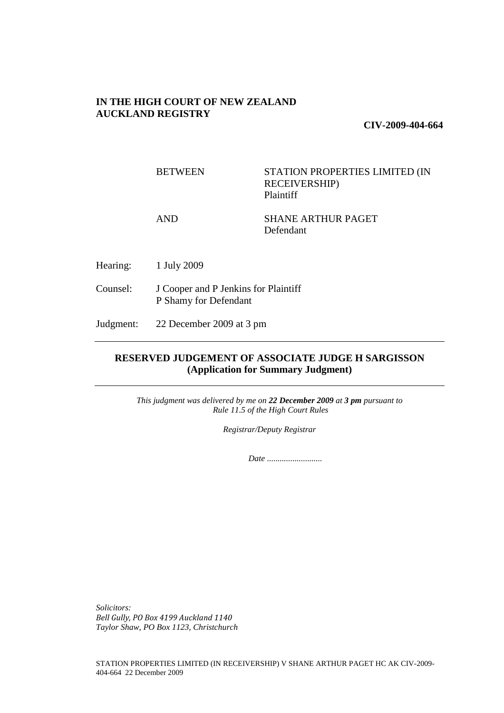## **IN THE HIGH COURT OF NEW ZEALAND AUCKLAND REGISTRY**

**CIV-2009-404-664** 

BETWEEN STATION PROPERTIES LIMITED (IN RECEIVERSHIP) Plaintiff

AND SHANE ARTHUR PAGET Defendant

Hearing: 1 July 2009

Counsel: J Cooper and P Jenkins for Plaintiff P Shamy for Defendant

Judgment: 22 December 2009 at 3 pm

# **RESERVED JUDGEMENT OF ASSOCIATE JUDGE H SARGISSON (Application for Summary Judgment)**

*This judgment was delivered by me on 22 December 2009 at 3 pm pursuant to Rule 11.5 of the High Court Rules* 

*Registrar/Deputy Registrar* 

 *Date ..........................* 

*Solicitors: Bell Gully, PO Box 4199 Auckland 1140 Taylor Shaw, PO Box 1123, Christchurch*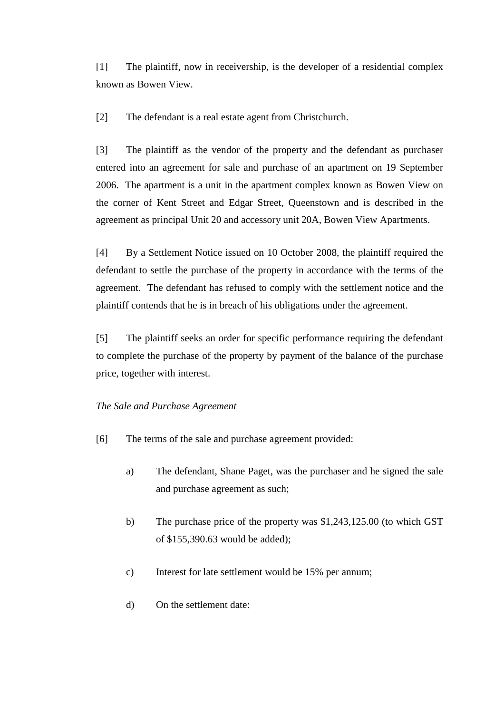[1] The plaintiff, now in receivership, is the developer of a residential complex known as Bowen View.

[2] The defendant is a real estate agent from Christchurch.

[3] The plaintiff as the vendor of the property and the defendant as purchaser entered into an agreement for sale and purchase of an apartment on 19 September 2006. The apartment is a unit in the apartment complex known as Bowen View on the corner of Kent Street and Edgar Street, Queenstown and is described in the agreement as principal Unit 20 and accessory unit 20A, Bowen View Apartments.

[4] By a Settlement Notice issued on 10 October 2008, the plaintiff required the defendant to settle the purchase of the property in accordance with the terms of the agreement. The defendant has refused to comply with the settlement notice and the plaintiff contends that he is in breach of his obligations under the agreement.

[5] The plaintiff seeks an order for specific performance requiring the defendant to complete the purchase of the property by payment of the balance of the purchase price, together with interest.

## *The Sale and Purchase Agreement*

- [6] The terms of the sale and purchase agreement provided:
	- a) The defendant, Shane Paget, was the purchaser and he signed the sale and purchase agreement as such;
	- b) The purchase price of the property was \$1,243,125.00 (to which GST of \$155,390.63 would be added);
	- c) Interest for late settlement would be 15% per annum;
	- d) On the settlement date: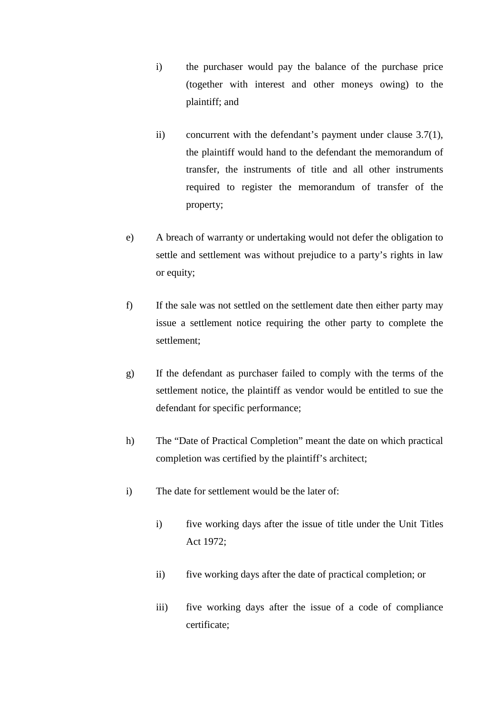- i) the purchaser would pay the balance of the purchase price (together with interest and other moneys owing) to the plaintiff; and
- ii) concurrent with the defendant's payment under clause 3.7(1), the plaintiff would hand to the defendant the memorandum of transfer, the instruments of title and all other instruments required to register the memorandum of transfer of the property;
- e) A breach of warranty or undertaking would not defer the obligation to settle and settlement was without prejudice to a party's rights in law or equity;
- f) If the sale was not settled on the settlement date then either party may issue a settlement notice requiring the other party to complete the settlement;
- g) If the defendant as purchaser failed to comply with the terms of the settlement notice, the plaintiff as vendor would be entitled to sue the defendant for specific performance;
- h) The "Date of Practical Completion" meant the date on which practical completion was certified by the plaintiff's architect;
- i) The date for settlement would be the later of:
	- i) five working days after the issue of title under the Unit Titles Act 1972;
	- ii) five working days after the date of practical completion; or
	- iii) five working days after the issue of a code of compliance certificate;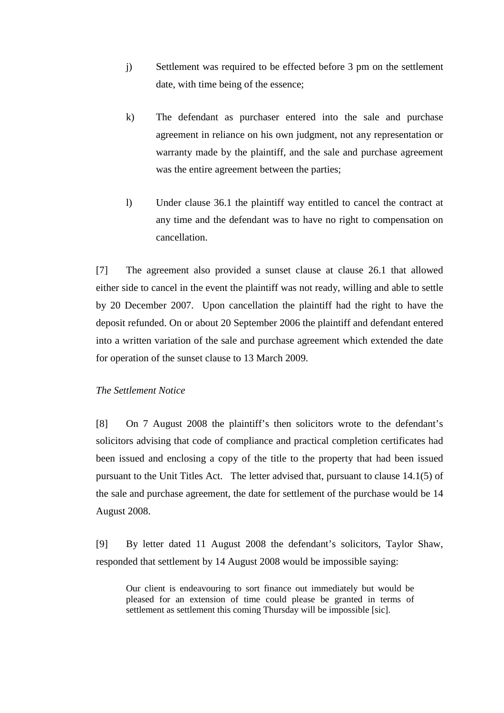- j) Settlement was required to be effected before 3 pm on the settlement date, with time being of the essence;
- k) The defendant as purchaser entered into the sale and purchase agreement in reliance on his own judgment, not any representation or warranty made by the plaintiff, and the sale and purchase agreement was the entire agreement between the parties;
- l) Under clause 36.1 the plaintiff way entitled to cancel the contract at any time and the defendant was to have no right to compensation on cancellation.

[7] The agreement also provided a sunset clause at clause 26.1 that allowed either side to cancel in the event the plaintiff was not ready, willing and able to settle by 20 December 2007. Upon cancellation the plaintiff had the right to have the deposit refunded. On or about 20 September 2006 the plaintiff and defendant entered into a written variation of the sale and purchase agreement which extended the date for operation of the sunset clause to 13 March 2009.

## *The Settlement Notice*

[8] On 7 August 2008 the plaintiff's then solicitors wrote to the defendant's solicitors advising that code of compliance and practical completion certificates had been issued and enclosing a copy of the title to the property that had been issued pursuant to the Unit Titles Act. The letter advised that, pursuant to clause 14.1(5) of the sale and purchase agreement, the date for settlement of the purchase would be 14 August 2008.

[9] By letter dated 11 August 2008 the defendant's solicitors, Taylor Shaw, responded that settlement by 14 August 2008 would be impossible saying:

Our client is endeavouring to sort finance out immediately but would be pleased for an extension of time could please be granted in terms of settlement as settlement this coming Thursday will be impossible [sic].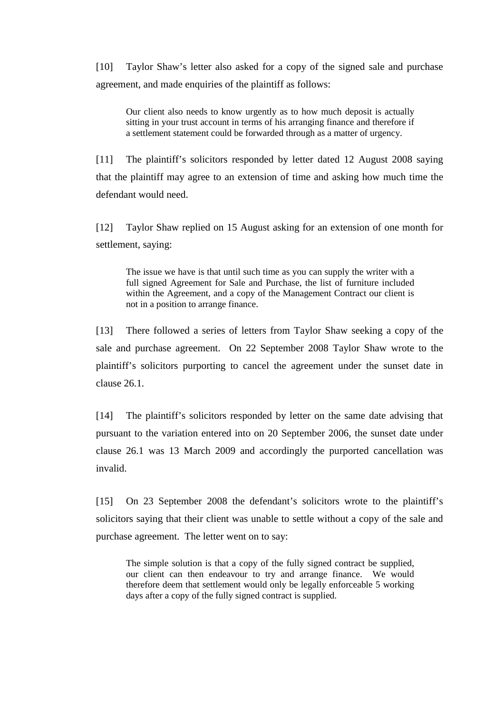[10] Taylor Shaw's letter also asked for a copy of the signed sale and purchase agreement, and made enquiries of the plaintiff as follows:

Our client also needs to know urgently as to how much deposit is actually sitting in your trust account in terms of his arranging finance and therefore if a settlement statement could be forwarded through as a matter of urgency.

[11] The plaintiff's solicitors responded by letter dated 12 August 2008 saying that the plaintiff may agree to an extension of time and asking how much time the defendant would need.

[12] Taylor Shaw replied on 15 August asking for an extension of one month for settlement, saying:

The issue we have is that until such time as you can supply the writer with a full signed Agreement for Sale and Purchase, the list of furniture included within the Agreement, and a copy of the Management Contract our client is not in a position to arrange finance.

[13] There followed a series of letters from Taylor Shaw seeking a copy of the sale and purchase agreement. On 22 September 2008 Taylor Shaw wrote to the plaintiff's solicitors purporting to cancel the agreement under the sunset date in clause 26.1.

[14] The plaintiff's solicitors responded by letter on the same date advising that pursuant to the variation entered into on 20 September 2006, the sunset date under clause 26.1 was 13 March 2009 and accordingly the purported cancellation was invalid.

[15] On 23 September 2008 the defendant's solicitors wrote to the plaintiff's solicitors saying that their client was unable to settle without a copy of the sale and purchase agreement. The letter went on to say:

The simple solution is that a copy of the fully signed contract be supplied, our client can then endeavour to try and arrange finance. We would therefore deem that settlement would only be legally enforceable 5 working days after a copy of the fully signed contract is supplied.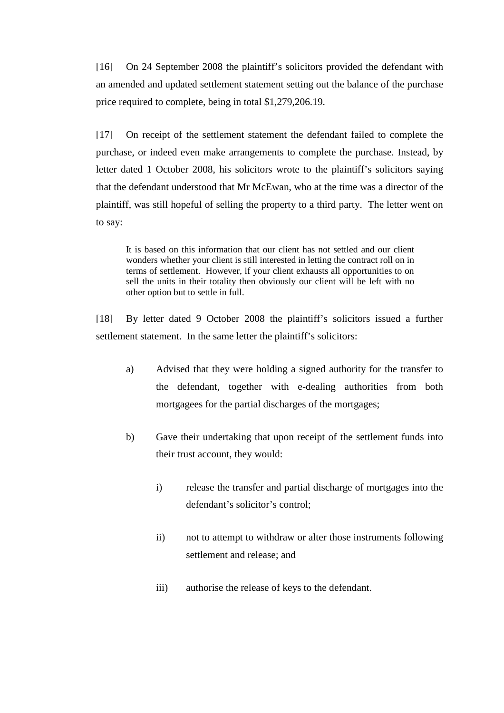[16] On 24 September 2008 the plaintiff's solicitors provided the defendant with an amended and updated settlement statement setting out the balance of the purchase price required to complete, being in total \$1,279,206.19.

[17] On receipt of the settlement statement the defendant failed to complete the purchase, or indeed even make arrangements to complete the purchase. Instead, by letter dated 1 October 2008, his solicitors wrote to the plaintiff's solicitors saying that the defendant understood that Mr McEwan, who at the time was a director of the plaintiff, was still hopeful of selling the property to a third party. The letter went on to say:

It is based on this information that our client has not settled and our client wonders whether your client is still interested in letting the contract roll on in terms of settlement. However, if your client exhausts all opportunities to on sell the units in their totality then obviously our client will be left with no other option but to settle in full.

[18] By letter dated 9 October 2008 the plaintiff's solicitors issued a further settlement statement. In the same letter the plaintiff's solicitors:

- a) Advised that they were holding a signed authority for the transfer to the defendant, together with e-dealing authorities from both mortgagees for the partial discharges of the mortgages;
- b) Gave their undertaking that upon receipt of the settlement funds into their trust account, they would:
	- i) release the transfer and partial discharge of mortgages into the defendant's solicitor's control;
	- ii) not to attempt to withdraw or alter those instruments following settlement and release; and
	- iii) authorise the release of keys to the defendant.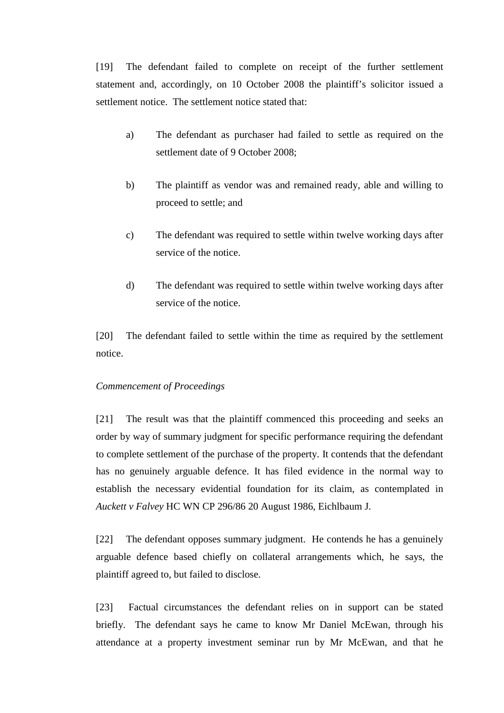[19] The defendant failed to complete on receipt of the further settlement statement and, accordingly, on 10 October 2008 the plaintiff's solicitor issued a settlement notice. The settlement notice stated that:

- a) The defendant as purchaser had failed to settle as required on the settlement date of 9 October 2008;
- b) The plaintiff as vendor was and remained ready, able and willing to proceed to settle; and
- c) The defendant was required to settle within twelve working days after service of the notice.
- d) The defendant was required to settle within twelve working days after service of the notice.

[20] The defendant failed to settle within the time as required by the settlement notice.

## *Commencement of Proceedings*

[21] The result was that the plaintiff commenced this proceeding and seeks an order by way of summary judgment for specific performance requiring the defendant to complete settlement of the purchase of the property. It contends that the defendant has no genuinely arguable defence. It has filed evidence in the normal way to establish the necessary evidential foundation for its claim, as contemplated in *Auckett v Falvey* HC WN CP 296/86 20 August 1986, Eichlbaum J*.*

[22] The defendant opposes summary judgment. He contends he has a genuinely arguable defence based chiefly on collateral arrangements which, he says, the plaintiff agreed to, but failed to disclose.

[23] Factual circumstances the defendant relies on in support can be stated briefly. The defendant says he came to know Mr Daniel McEwan, through his attendance at a property investment seminar run by Mr McEwan, and that he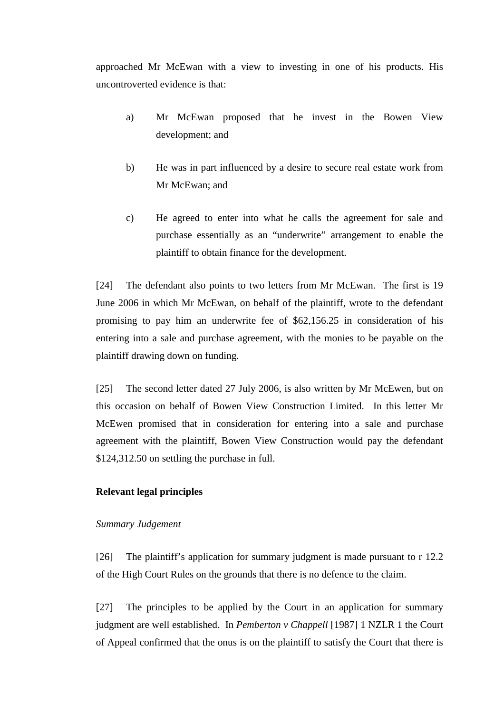approached Mr McEwan with a view to investing in one of his products. His uncontroverted evidence is that:

- a) Mr McEwan proposed that he invest in the Bowen View development; and
- b) He was in part influenced by a desire to secure real estate work from Mr McEwan; and
- c) He agreed to enter into what he calls the agreement for sale and purchase essentially as an "underwrite" arrangement to enable the plaintiff to obtain finance for the development.

[24] The defendant also points to two letters from Mr McEwan. The first is 19 June 2006 in which Mr McEwan, on behalf of the plaintiff, wrote to the defendant promising to pay him an underwrite fee of \$62,156.25 in consideration of his entering into a sale and purchase agreement, with the monies to be payable on the plaintiff drawing down on funding.

[25] The second letter dated 27 July 2006, is also written by Mr McEwen, but on this occasion on behalf of Bowen View Construction Limited. In this letter Mr McEwen promised that in consideration for entering into a sale and purchase agreement with the plaintiff, Bowen View Construction would pay the defendant \$124,312.50 on settling the purchase in full.

## **Relevant legal principles**

## *Summary Judgement*

[26] The plaintiff's application for summary judgment is made pursuant to r 12.2 of the High Court Rules on the grounds that there is no defence to the claim.

[27] The principles to be applied by the Court in an application for summary judgment are well established. In *Pemberton v Chappell* [1987] 1 NZLR 1 the Court of Appeal confirmed that the onus is on the plaintiff to satisfy the Court that there is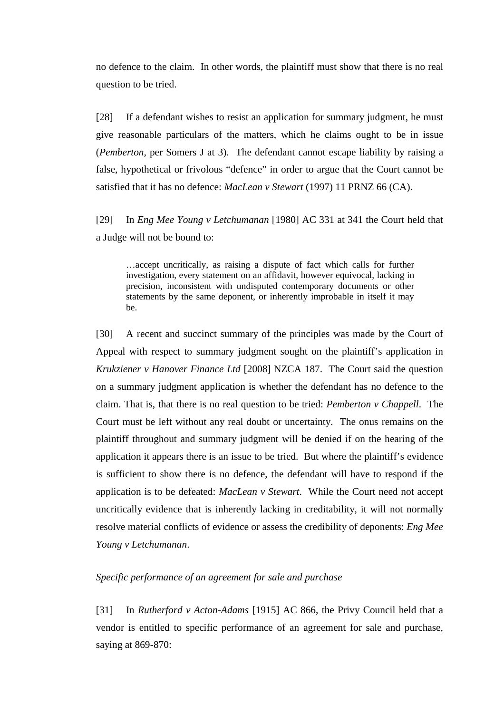no defence to the claim. In other words, the plaintiff must show that there is no real question to be tried.

[28] If a defendant wishes to resist an application for summary judgment, he must give reasonable particulars of the matters, which he claims ought to be in issue (*Pemberton,* per Somers J at 3). The defendant cannot escape liability by raising a false, hypothetical or frivolous "defence" in order to argue that the Court cannot be satisfied that it has no defence: *MacLean v Stewart* (1997) 11 PRNZ 66 (CA).

[29] In *Eng Mee Young v Letchumanan* [1980] AC 331 at 341 the Court held that a Judge will not be bound to:

…accept uncritically, as raising a dispute of fact which calls for further investigation, every statement on an affidavit, however equivocal, lacking in precision, inconsistent with undisputed contemporary documents or other statements by the same deponent, or inherently improbable in itself it may be.

[30] A recent and succinct summary of the principles was made by the Court of Appeal with respect to summary judgment sought on the plaintiff's application in *Krukziener v Hanover Finance Ltd* [2008] NZCA 187. The Court said the question on a summary judgment application is whether the defendant has no defence to the claim. That is, that there is no real question to be tried: *Pemberton v Chappell*. The Court must be left without any real doubt or uncertainty. The onus remains on the plaintiff throughout and summary judgment will be denied if on the hearing of the application it appears there is an issue to be tried. But where the plaintiff's evidence is sufficient to show there is no defence, the defendant will have to respond if the application is to be defeated: *MacLean v Stewart*. While the Court need not accept uncritically evidence that is inherently lacking in creditability, it will not normally resolve material conflicts of evidence or assess the credibility of deponents: *Eng Mee Young v Letchumanan*.

#### *Specific performance of an agreement for sale and purchase*

[31] In *Rutherford v Acton-Adams* [1915] AC 866, the Privy Council held that a vendor is entitled to specific performance of an agreement for sale and purchase, saying at 869-870: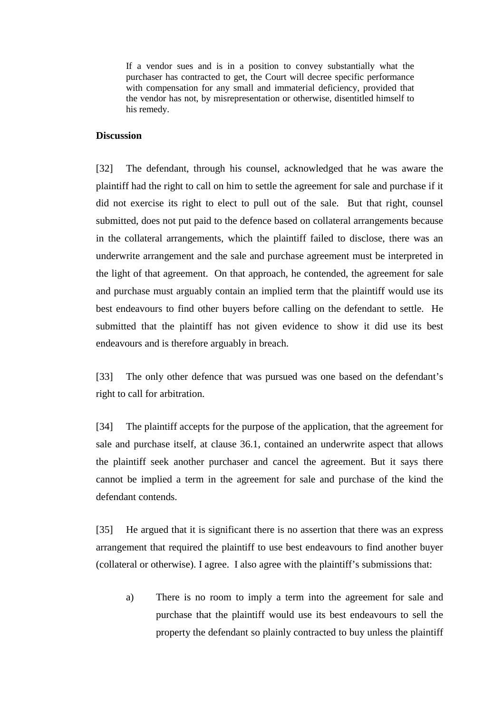If a vendor sues and is in a position to convey substantially what the purchaser has contracted to get, the Court will decree specific performance with compensation for any small and immaterial deficiency, provided that the vendor has not, by misrepresentation or otherwise, disentitled himself to his remedy.

## **Discussion**

[32] The defendant, through his counsel, acknowledged that he was aware the plaintiff had the right to call on him to settle the agreement for sale and purchase if it did not exercise its right to elect to pull out of the sale. But that right, counsel submitted, does not put paid to the defence based on collateral arrangements because in the collateral arrangements, which the plaintiff failed to disclose, there was an underwrite arrangement and the sale and purchase agreement must be interpreted in the light of that agreement. On that approach, he contended, the agreement for sale and purchase must arguably contain an implied term that the plaintiff would use its best endeavours to find other buyers before calling on the defendant to settle. He submitted that the plaintiff has not given evidence to show it did use its best endeavours and is therefore arguably in breach.

[33] The only other defence that was pursued was one based on the defendant's right to call for arbitration.

[34] The plaintiff accepts for the purpose of the application, that the agreement for sale and purchase itself, at clause 36.1, contained an underwrite aspect that allows the plaintiff seek another purchaser and cancel the agreement. But it says there cannot be implied a term in the agreement for sale and purchase of the kind the defendant contends.

[35] He argued that it is significant there is no assertion that there was an express arrangement that required the plaintiff to use best endeavours to find another buyer (collateral or otherwise). I agree. I also agree with the plaintiff's submissions that:

a) There is no room to imply a term into the agreement for sale and purchase that the plaintiff would use its best endeavours to sell the property the defendant so plainly contracted to buy unless the plaintiff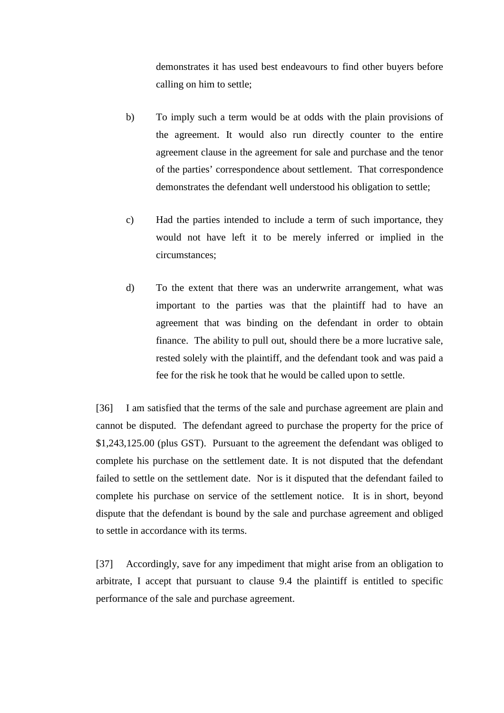demonstrates it has used best endeavours to find other buyers before calling on him to settle;

- b) To imply such a term would be at odds with the plain provisions of the agreement. It would also run directly counter to the entire agreement clause in the agreement for sale and purchase and the tenor of the parties' correspondence about settlement. That correspondence demonstrates the defendant well understood his obligation to settle;
- c) Had the parties intended to include a term of such importance, they would not have left it to be merely inferred or implied in the circumstances;
- d) To the extent that there was an underwrite arrangement, what was important to the parties was that the plaintiff had to have an agreement that was binding on the defendant in order to obtain finance. The ability to pull out, should there be a more lucrative sale, rested solely with the plaintiff, and the defendant took and was paid a fee for the risk he took that he would be called upon to settle.

[36] I am satisfied that the terms of the sale and purchase agreement are plain and cannot be disputed. The defendant agreed to purchase the property for the price of \$1,243,125.00 (plus GST). Pursuant to the agreement the defendant was obliged to complete his purchase on the settlement date. It is not disputed that the defendant failed to settle on the settlement date. Nor is it disputed that the defendant failed to complete his purchase on service of the settlement notice. It is in short, beyond dispute that the defendant is bound by the sale and purchase agreement and obliged to settle in accordance with its terms.

[37] Accordingly, save for any impediment that might arise from an obligation to arbitrate, I accept that pursuant to clause 9.4 the plaintiff is entitled to specific performance of the sale and purchase agreement.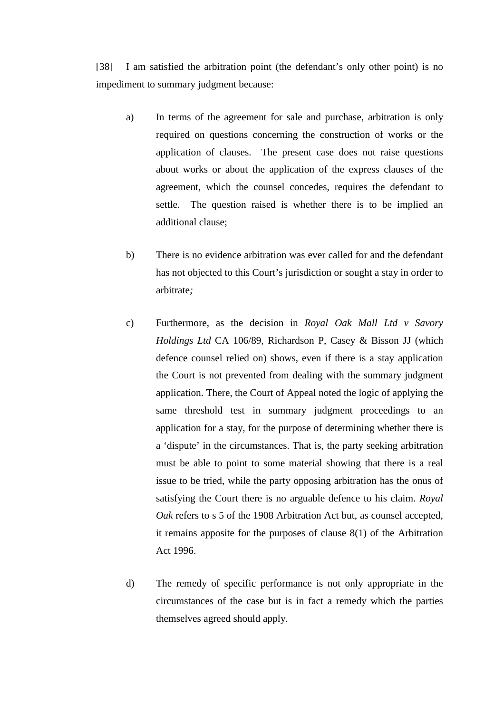[38] I am satisfied the arbitration point (the defendant's only other point) is no impediment to summary judgment because:

- a) In terms of the agreement for sale and purchase, arbitration is only required on questions concerning the construction of works or the application of clauses. The present case does not raise questions about works or about the application of the express clauses of the agreement, which the counsel concedes, requires the defendant to settle. The question raised is whether there is to be implied an additional clause;
- b) There is no evidence arbitration was ever called for and the defendant has not objected to this Court's jurisdiction or sought a stay in order to arbitrate*;*
- c) Furthermore, as the decision in *Royal Oak Mall Ltd v Savory Holdings Ltd* CA 106/89, Richardson P, Casey & Bisson JJ (which defence counsel relied on) shows, even if there is a stay application the Court is not prevented from dealing with the summary judgment application. There, the Court of Appeal noted the logic of applying the same threshold test in summary judgment proceedings to an application for a stay, for the purpose of determining whether there is a 'dispute' in the circumstances. That is, the party seeking arbitration must be able to point to some material showing that there is a real issue to be tried, while the party opposing arbitration has the onus of satisfying the Court there is no arguable defence to his claim. *Royal Oak* refers to s 5 of the 1908 Arbitration Act but, as counsel accepted, it remains apposite for the purposes of clause 8(1) of the Arbitration Act 1996.
- d) The remedy of specific performance is not only appropriate in the circumstances of the case but is in fact a remedy which the parties themselves agreed should apply.